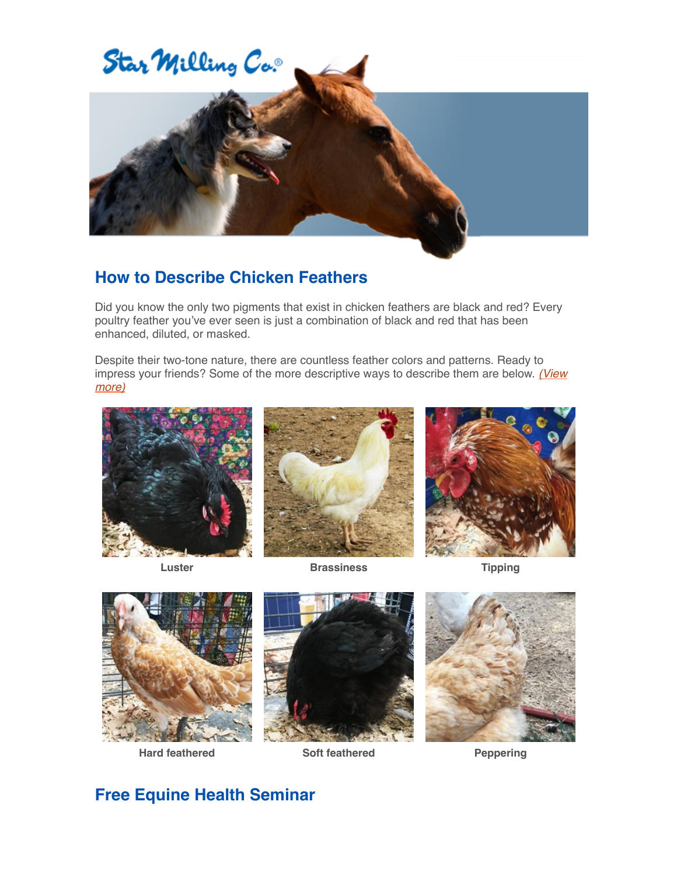

## **How to Describe Chicken Feathers**

Did you know the only two pigments that exist in chicken feathers are black and red? Every poultry feather you've ever seen is just a combination of black and red that has been enhanced, diluted, or masked.

Despite their two-tone nature, there are countless feather colors and patterns. Ready to [impress your friends? Some of the more descriptive ways to describe them are below.](https://www.starmilling.com/chicken-feathers.php) *(View more)*





**Luster Brassiness Tipping** 











## **Free Equine Health Seminar**